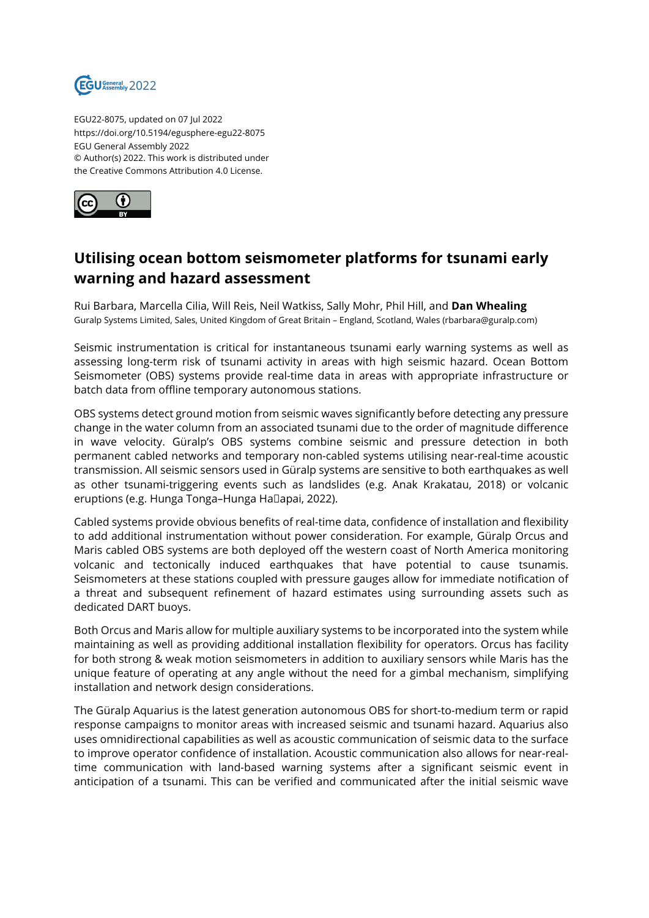

EGU22-8075, updated on 07 Jul 2022 https://doi.org/10.5194/egusphere-egu22-8075 EGU General Assembly 2022 © Author(s) 2022. This work is distributed under the Creative Commons Attribution 4.0 License.



## **Utilising ocean bottom seismometer platforms for tsunami early warning and hazard assessment**

Rui Barbara, Marcella Cilia, Will Reis, Neil Watkiss, Sally Mohr, Phil Hill, and **Dan Whealing** Guralp Systems Limited, Sales, United Kingdom of Great Britain – England, Scotland, Wales (rbarbara@guralp.com)

Seismic instrumentation is critical for instantaneous tsunami early warning systems as well as assessing long-term risk of tsunami activity in areas with high seismic hazard. Ocean Bottom Seismometer (OBS) systems provide real-time data in areas with appropriate infrastructure or batch data from offline temporary autonomous stations.

OBS systems detect ground motion from seismic waves significantly before detecting any pressure change in the water column from an associated tsunami due to the order of magnitude difference in wave velocity. Güralp's OBS systems combine seismic and pressure detection in both permanent cabled networks and temporary non-cabled systems utilising near-real-time acoustic transmission. All seismic sensors used in Güralp systems are sensitive to both earthquakes as well as other tsunami-triggering events such as landslides (e.g. Anak Krakatau, 2018) or volcanic eruptions (e.g. Hunga Tonga-Hunga Hallapai, 2022).

Cabled systems provide obvious benefits of real-time data, confidence of installation and flexibility to add additional instrumentation without power consideration. For example, Güralp Orcus and Maris cabled OBS systems are both deployed off the western coast of North America monitoring volcanic and tectonically induced earthquakes that have potential to cause tsunamis. Seismometers at these stations coupled with pressure gauges allow for immediate notification of a threat and subsequent refinement of hazard estimates using surrounding assets such as dedicated DART buoys.

Both Orcus and Maris allow for multiple auxiliary systems to be incorporated into the system while maintaining as well as providing additional installation flexibility for operators. Orcus has facility for both strong & weak motion seismometers in addition to auxiliary sensors while Maris has the unique feature of operating at any angle without the need for a gimbal mechanism, simplifying installation and network design considerations.

The Güralp Aquarius is the latest generation autonomous OBS for short-to-medium term or rapid response campaigns to monitor areas with increased seismic and tsunami hazard. Aquarius also uses omnidirectional capabilities as well as acoustic communication of seismic data to the surface to improve operator confidence of installation. Acoustic communication also allows for near-realtime communication with land-based warning systems after a significant seismic event in anticipation of a tsunami. This can be verified and communicated after the initial seismic wave